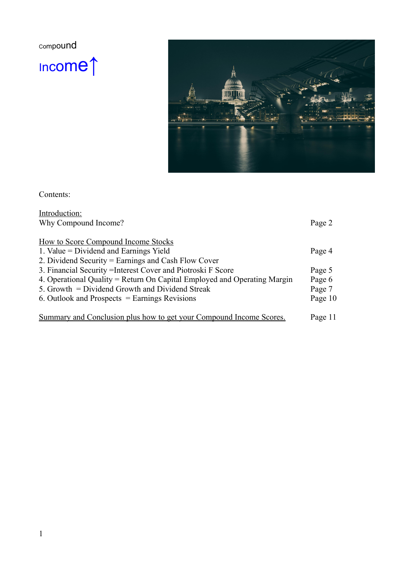<sup>C</sup>ompound

<sup>I</sup>ncome↑



Contents:

| Introduction:                                                            |         |
|--------------------------------------------------------------------------|---------|
| Why Compound Income?                                                     | Page 2  |
|                                                                          |         |
| <b>How to Score Compound Income Stocks</b>                               |         |
| 1. Value = Dividend and Earnings Yield                                   | Page 4  |
| 2. Dividend Security = Earnings and Cash Flow Cover                      |         |
| 3. Financial Security = Interest Cover and Piotroski F Score             | Page 5  |
| 4. Operational Quality = Return On Capital Employed and Operating Margin | Page 6  |
| 5. Growth = Dividend Growth and Dividend Streak                          | Page 7  |
| 6. Outlook and Prospects $=$ Earnings Revisions                          | Page 10 |
|                                                                          |         |
| Summary and Conclusion plus how to get your Compound Income Scores.      | Page 11 |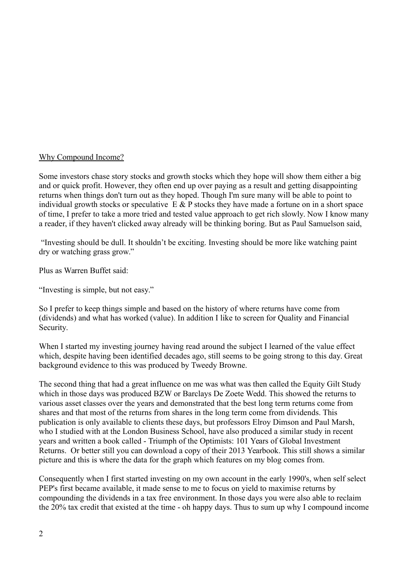## Why Compound Income?

Some investors chase story stocks and growth stocks which they hope will show them either a big and or quick profit. However, they often end up over paying as a result and getting disappointing returns when things don't turn out as they hoped. Though I'm sure many will be able to point to individual growth stocks or speculative  $E \& P$  stocks they have made a fortune on in a short space of time, I prefer to take a more tried and tested value approach to get rich slowly. Now I know many a reader, if they haven't clicked away already will be thinking boring. But as Paul Samuelson said,

 "Investing should be dull. It shouldn't be exciting. Investing should be more like watching paint dry or watching grass grow."

Plus as Warren Buffet said:

"Investing is simple, but not easy."

So I prefer to keep things simple and based on the history of where returns have come from (dividends) and what has worked (value). In addition I like to screen for Quality and Financial Security.

When I started my investing journey having read around the subject I learned of the value effect which, despite having been identified decades ago, still seems to be going strong to this day. Great background evidence to this was produced by Tweedy Browne.

The second thing that had a great influence on me was what was then called the Equity Gilt Study which in those days was produced BZW or Barclays De Zoete Wedd. This showed the returns to various asset classes over the years and demonstrated that the best long term returns come from shares and that most of the returns from shares in the long term come from dividends. This publication is only available to clients these days, but professors Elroy Dimson and Paul Marsh, who I studied with at the London Business School, have also produced a similar study in recent years and written a book called - Triumph of the Optimists: 101 Years of Global Investment Returns. Or better still you can download a copy of their 2013 Yearbook. This still shows a similar picture and this is where the data for the graph which features on my blog comes from.

Consequently when I first started investing on my own account in the early 1990's, when self select PEP's first became available, it made sense to me to focus on yield to maximise returns by compounding the dividends in a tax free environment. In those days you were also able to reclaim the 20% tax credit that existed at the time - oh happy days. Thus to sum up why I compound income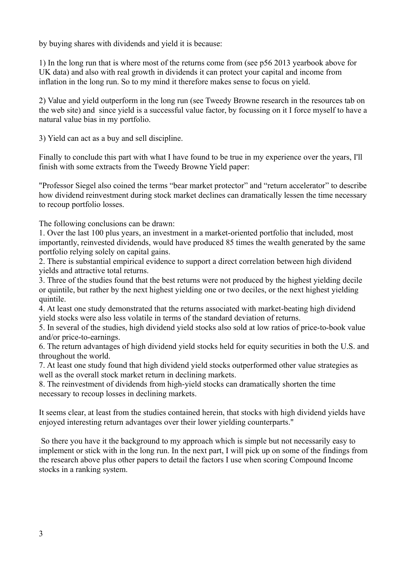by buying shares with dividends and yield it is because:

1) In the long run that is where most of the returns come from (see p56 2013 yearbook above for UK data) and also with real growth in dividends it can protect your capital and income from inflation in the long run. So to my mind it therefore makes sense to focus on yield.

2) Value and yield outperform in the long run (see Tweedy Browne research in the resources tab on the web site) and since yield is a successful value factor, by focussing on it I force myself to have a natural value bias in my portfolio.

3) Yield can act as a buy and sell discipline.

Finally to conclude this part with what I have found to be true in my experience over the years, I'll finish with some extracts from the Tweedy Browne Yield paper:

"Professor Siegel also coined the terms "bear market protector" and "return accelerator" to describe how dividend reinvestment during stock market declines can dramatically lessen the time necessary to recoup portfolio losses.

The following conclusions can be drawn:

1. Over the last 100 plus years, an investment in a market-oriented portfolio that included, most importantly, reinvested dividends, would have produced 85 times the wealth generated by the same portfolio relying solely on capital gains.

2. There is substantial empirical evidence to support a direct correlation between high dividend yields and attractive total returns.

3. Three of the studies found that the best returns were not produced by the highest yielding decile or quintile, but rather by the next highest yielding one or two deciles, or the next highest yielding quintile.

4. At least one study demonstrated that the returns associated with market-beating high dividend yield stocks were also less volatile in terms of the standard deviation of returns.

5. In several of the studies, high dividend yield stocks also sold at low ratios of price-to-book value and/or price-to-earnings.

6. The return advantages of high dividend yield stocks held for equity securities in both the U.S. and throughout the world.

7. At least one study found that high dividend yield stocks outperformed other value strategies as well as the overall stock market return in declining markets.

8. The reinvestment of dividends from high-yield stocks can dramatically shorten the time necessary to recoup losses in declining markets.

It seems clear, at least from the studies contained herein, that stocks with high dividend yields have enjoyed interesting return advantages over their lower yielding counterparts."

 So there you have it the background to my approach which is simple but not necessarily easy to implement or stick with in the long run. In the next part, I will pick up on some of the findings from the research above plus other papers to detail the factors I use when scoring Compound Income stocks in a ranking system.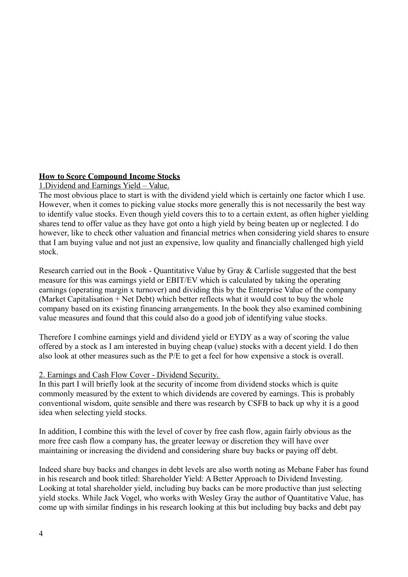# **How to Score Compound Income Stocks**

## 1.Dividend and Earnings Yield – Value.

The most obvious place to start is with the dividend yield which is certainly one factor which I use. However, when it comes to picking value stocks more generally this is not necessarily the best way to identify value stocks. Even though yield covers this to to a certain extent, as often higher yielding shares tend to offer value as they have got onto a high yield by being beaten up or neglected. I do however, like to check other valuation and financial metrics when considering yield shares to ensure that I am buying value and not just an expensive, low quality and financially challenged high yield stock.

Research carried out in the Book - Quantitative Value by Gray & Carlisle suggested that the best measure for this was earnings yield or EBIT/EV which is calculated by taking the operating earnings (operating margin x turnover) and dividing this by the Enterprise Value of the company (Market Capitalisation + Net Debt) which better reflects what it would cost to buy the whole company based on its existing financing arrangements. In the book they also examined combining value measures and found that this could also do a good job of identifying value stocks.

Therefore I combine earnings yield and dividend yield or EYDY as a way of scoring the value offered by a stock as I am interested in buying cheap (value) stocks with a decent yield. I do then also look at other measures such as the P/E to get a feel for how expensive a stock is overall.

## 2. Earnings and Cash Flow Cover - Dividend Security.

In this part I will briefly look at the security of income from dividend stocks which is quite commonly measured by the extent to which dividends are covered by earnings. This is probably conventional wisdom, quite sensible and there was research by CSFB to back up why it is a good idea when selecting yield stocks.

In addition, I combine this with the level of cover by free cash flow, again fairly obvious as the more free cash flow a company has, the greater leeway or discretion they will have over maintaining or increasing the dividend and considering share buy backs or paying off debt.

Indeed share buy backs and changes in debt levels are also worth noting as Mebane Faber has found in his research and book titled: Shareholder Yield: A Better Approach to Dividend Investing. Looking at total shareholder yield, including buy backs can be more productive than just selecting yield stocks. While Jack Vogel, who works with Wesley Gray the author of Quantitative Value, has come up with similar findings in his research looking at this but including buy backs and debt pay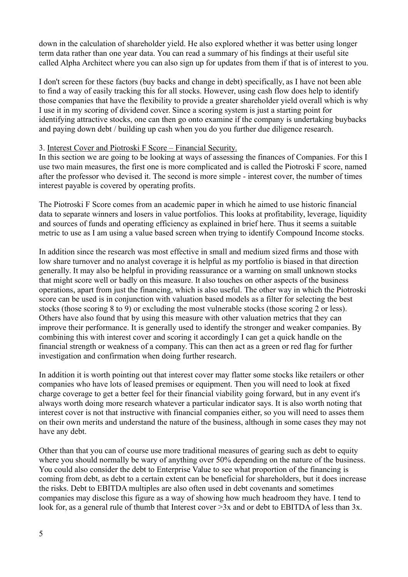down in the calculation of shareholder yield. He also explored whether it was better using longer term data rather than one year data. You can read a summary of his findings at their useful site called Alpha Architect where you can also sign up for updates from them if that is of interest to you.

I don't screen for these factors (buy backs and change in debt) specifically, as I have not been able to find a way of easily tracking this for all stocks. However, using cash flow does help to identify those companies that have the flexibility to provide a greater shareholder yield overall which is why I use it in my scoring of dividend cover. Since a scoring system is just a starting point for identifying attractive stocks, one can then go onto examine if the company is undertaking buybacks and paying down debt / building up cash when you do you further due diligence research.

### 3. Interest Cover and Piotroski F Score – Financial Security.

In this section we are going to be looking at ways of assessing the finances of Companies. For this I use two main measures, the first one is more complicated and is called the Piotroski F score, named after the professor who devised it. The second is more simple - interest cover, the number of times interest payable is covered by operating profits.

The Piotroski F Score comes from an academic paper in which he aimed to use historic financial data to separate winners and losers in value portfolios. This looks at profitability, leverage, liquidity and sources of funds and operating efficiency as explained in brief here. Thus it seems a suitable metric to use as I am using a value based screen when trying to identify Compound Income stocks.

In addition since the research was most effective in small and medium sized firms and those with low share turnover and no analyst coverage it is helpful as my portfolio is biased in that direction generally. It may also be helpful in providing reassurance or a warning on small unknown stocks that might score well or badly on this measure. It also touches on other aspects of the business operations, apart from just the financing, which is also useful. The other way in which the Piotroski score can be used is in conjunction with valuation based models as a filter for selecting the best stocks (those scoring 8 to 9) or excluding the most vulnerable stocks (those scoring 2 or less). Others have also found that by using this measure with other valuation metrics that they can improve their performance. It is generally used to identify the stronger and weaker companies. By combining this with interest cover and scoring it accordingly I can get a quick handle on the financial strength or weakness of a company. This can then act as a green or red flag for further investigation and confirmation when doing further research.

In addition it is worth pointing out that interest cover may flatter some stocks like retailers or other companies who have lots of leased premises or equipment. Then you will need to look at fixed charge coverage to get a better feel for their financial viability going forward, but in any event it's always worth doing more research whatever a particular indicator says. It is also worth noting that interest cover is not that instructive with financial companies either, so you will need to asses them on their own merits and understand the nature of the business, although in some cases they may not have any debt.

Other than that you can of course use more traditional measures of gearing such as debt to equity where you should normally be wary of anything over 50% depending on the nature of the business. You could also consider the debt to Enterprise Value to see what proportion of the financing is coming from debt, as debt to a certain extent can be beneficial for shareholders, but it does increase the risks. Debt to EBITDA multiples are also often used in debt covenants and sometimes companies may disclose this figure as a way of showing how much headroom they have. I tend to look for, as a general rule of thumb that Interest cover  $>3x$  and or debt to EBITDA of less than 3x.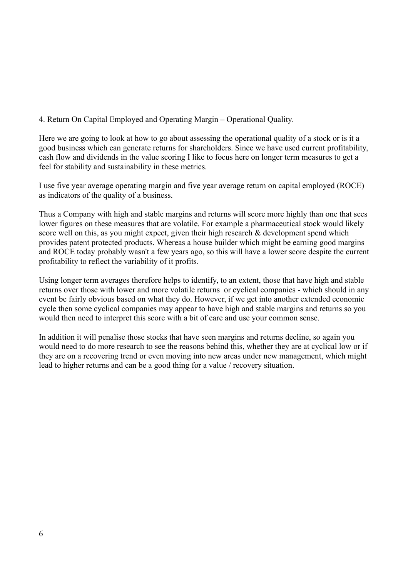# 4. Return On Capital Employed and Operating Margin – Operational Quality.

Here we are going to look at how to go about assessing the operational quality of a stock or is it a good business which can generate returns for shareholders. Since we have used current profitability, cash flow and dividends in the value scoring I like to focus here on longer term measures to get a feel for stability and sustainability in these metrics.

I use five year average operating margin and five year average return on capital employed (ROCE) as indicators of the quality of a business.

Thus a Company with high and stable margins and returns will score more highly than one that sees lower figures on these measures that are volatile. For example a pharmaceutical stock would likely score well on this, as you might expect, given their high research & development spend which provides patent protected products. Whereas a house builder which might be earning good margins and ROCE today probably wasn't a few years ago, so this will have a lower score despite the current profitability to reflect the variability of it profits.

Using longer term averages therefore helps to identify, to an extent, those that have high and stable returns over those with lower and more volatile returns or cyclical companies - which should in any event be fairly obvious based on what they do. However, if we get into another extended economic cycle then some cyclical companies may appear to have high and stable margins and returns so you would then need to interpret this score with a bit of care and use your common sense.

In addition it will penalise those stocks that have seen margins and returns decline, so again you would need to do more research to see the reasons behind this, whether they are at cyclical low or if they are on a recovering trend or even moving into new areas under new management, which might lead to higher returns and can be a good thing for a value / recovery situation.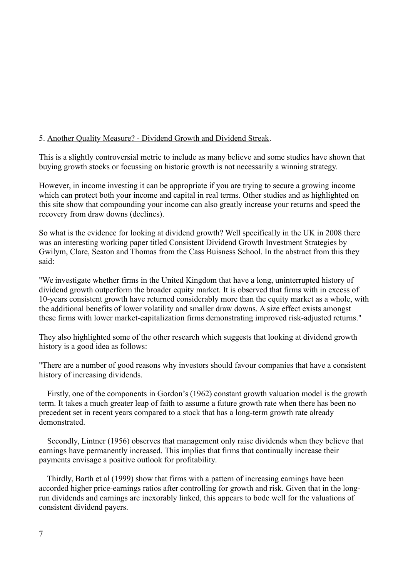# 5. Another Quality Measure? - Dividend Growth and Dividend Streak.

This is a slightly controversial metric to include as many believe and some studies have shown that buying growth stocks or focussing on historic growth is not necessarily a winning strategy.

However, in income investing it can be appropriate if you are trying to secure a growing income which can protect both your income and capital in real terms. Other studies and as highlighted on this site show that compounding your income can also greatly increase your returns and speed the recovery from draw downs (declines).

So what is the evidence for looking at dividend growth? Well specifically in the UK in 2008 there was an interesting working paper titled Consistent Dividend Growth Investment Strategies by Gwilym, Clare, Seaton and Thomas from the Cass Buisness School. In the abstract from this they said:

"We investigate whether firms in the United Kingdom that have a long, uninterrupted history of dividend growth outperform the broader equity market. It is observed that firms with in excess of 10-years consistent growth have returned considerably more than the equity market as a whole, with the additional benefits of lower volatility and smaller draw downs. A size effect exists amongst these firms with lower market-capitalization firms demonstrating improved risk-adjusted returns."

They also highlighted some of the other research which suggests that looking at dividend growth history is a good idea as follows:

"There are a number of good reasons why investors should favour companies that have a consistent history of increasing dividends.

 Firstly, one of the components in Gordon's (1962) constant growth valuation model is the growth term. It takes a much greater leap of faith to assume a future growth rate when there has been no precedent set in recent years compared to a stock that has a long-term growth rate already demonstrated.

 Secondly, Lintner (1956) observes that management only raise dividends when they believe that earnings have permanently increased. This implies that firms that continually increase their payments envisage a positive outlook for profitability.

 Thirdly, Barth et al (1999) show that firms with a pattern of increasing earnings have been accorded higher price-earnings ratios after controlling for growth and risk. Given that in the longrun dividends and earnings are inexorably linked, this appears to bode well for the valuations of consistent dividend payers.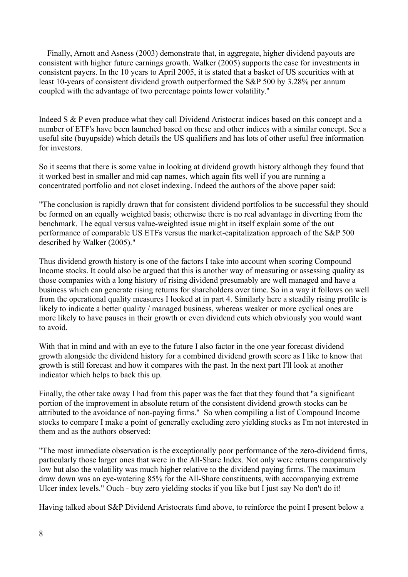Finally, Arnott and Asness (2003) demonstrate that, in aggregate, higher dividend payouts are consistent with higher future earnings growth. Walker (2005) supports the case for investments in consistent payers. In the 10 years to April 2005, it is stated that a basket of US securities with at least 10-years of consistent dividend growth outperformed the S&P 500 by 3.28% per annum coupled with the advantage of two percentage points lower volatility."

Indeed S & P even produce what they call Dividend Aristocrat indices based on this concept and a number of ETF's have been launched based on these and other indices with a similar concept. See a useful site (buyupside) which details the US qualifiers and has lots of other useful free information for investors.

So it seems that there is some value in looking at dividend growth history although they found that it worked best in smaller and mid cap names, which again fits well if you are running a concentrated portfolio and not closet indexing. Indeed the authors of the above paper said:

"The conclusion is rapidly drawn that for consistent dividend portfolios to be successful they should be formed on an equally weighted basis; otherwise there is no real advantage in diverting from the benchmark. The equal versus value-weighted issue might in itself explain some of the out performance of comparable US ETFs versus the market-capitalization approach of the S&P 500 described by Walker (2005)."

Thus dividend growth history is one of the factors I take into account when scoring Compound Income stocks. It could also be argued that this is another way of measuring or assessing quality as those companies with a long history of rising dividend presumably are well managed and have a business which can generate rising returns for shareholders over time. So in a way it follows on well from the operational quality measures I looked at in part 4. Similarly here a steadily rising profile is likely to indicate a better quality / managed business, whereas weaker or more cyclical ones are more likely to have pauses in their growth or even dividend cuts which obviously you would want to avoid.

With that in mind and with an eye to the future I also factor in the one year forecast dividend growth alongside the dividend history for a combined dividend growth score as I like to know that growth is still forecast and how it compares with the past. In the next part I'll look at another indicator which helps to back this up.

Finally, the other take away I had from this paper was the fact that they found that "a significant portion of the improvement in absolute return of the consistent dividend growth stocks can be attributed to the avoidance of non-paying firms." So when compiling a list of Compound Income stocks to compare I make a point of generally excluding zero yielding stocks as I'm not interested in them and as the authors observed:

"The most immediate observation is the exceptionally poor performance of the zero-dividend firms, particularly those larger ones that were in the All-Share Index. Not only were returns comparatively low but also the volatility was much higher relative to the dividend paying firms. The maximum draw down was an eye-watering 85% for the All-Share constituents, with accompanying extreme Ulcer index levels." Ouch - buy zero yielding stocks if you like but I just say No don't do it!

Having talked about S&P Dividend Aristocrats fund above, to reinforce the point I present below a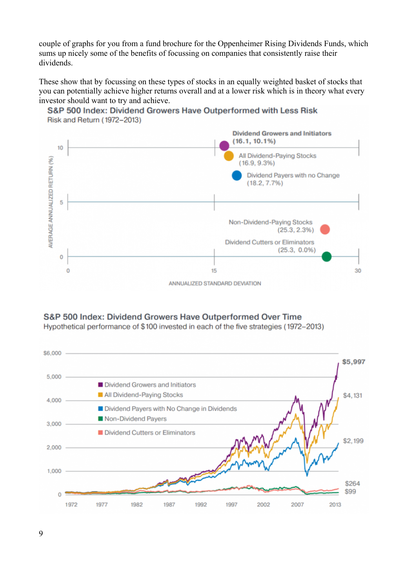couple of graphs for you from a fund brochure for the Oppenheimer Rising Dividends Funds, which sums up nicely some of the benefits of focussing on companies that consistently raise their dividends.

These show that by focussing on these types of stocks in an equally weighted basket of stocks that you can potentially achieve higher returns overall and at a lower risk which is in theory what every investor should want to try and achieve.



### S&P 500 Index: Dividend Growers Have Outperformed with Less Risk Risk and Return (1972-2013)

S&P 500 Index: Dividend Growers Have Outperformed Over Time

Hypothetical performance of \$100 invested in each of the five strategies (1972–2013)

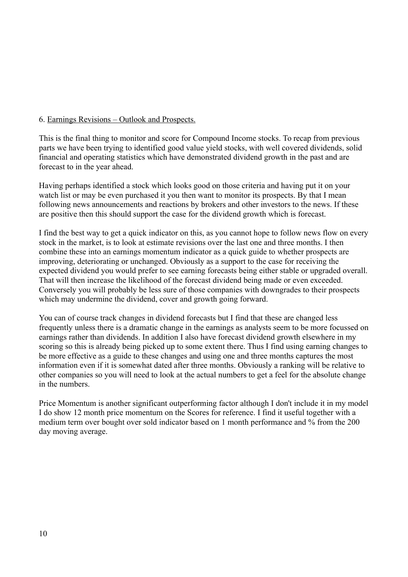# 6. Earnings Revisions – Outlook and Prospects.

This is the final thing to monitor and score for Compound Income stocks. To recap from previous parts we have been trying to identified good value yield stocks, with well covered dividends, solid financial and operating statistics which have demonstrated dividend growth in the past and are forecast to in the year ahead.

Having perhaps identified a stock which looks good on those criteria and having put it on your watch list or may be even purchased it you then want to monitor its prospects. By that I mean following news announcements and reactions by brokers and other investors to the news. If these are positive then this should support the case for the dividend growth which is forecast.

I find the best way to get a quick indicator on this, as you cannot hope to follow news flow on every stock in the market, is to look at estimate revisions over the last one and three months. I then combine these into an earnings momentum indicator as a quick guide to whether prospects are improving, deteriorating or unchanged. Obviously as a support to the case for receiving the expected dividend you would prefer to see earning forecasts being either stable or upgraded overall. That will then increase the likelihood of the forecast dividend being made or even exceeded. Conversely you will probably be less sure of those companies with downgrades to their prospects which may undermine the dividend, cover and growth going forward.

You can of course track changes in dividend forecasts but I find that these are changed less frequently unless there is a dramatic change in the earnings as analysts seem to be more focussed on earnings rather than dividends. In addition I also have forecast dividend growth elsewhere in my scoring so this is already being picked up to some extent there. Thus I find using earning changes to be more effective as a guide to these changes and using one and three months captures the most information even if it is somewhat dated after three months. Obviously a ranking will be relative to other companies so you will need to look at the actual numbers to get a feel for the absolute change in the numbers.

Price Momentum is another significant outperforming factor although I don't include it in my model I do show 12 month price momentum on the Scores for reference. I find it useful together with a medium term over bought over sold indicator based on 1 month performance and % from the 200 day moving average.